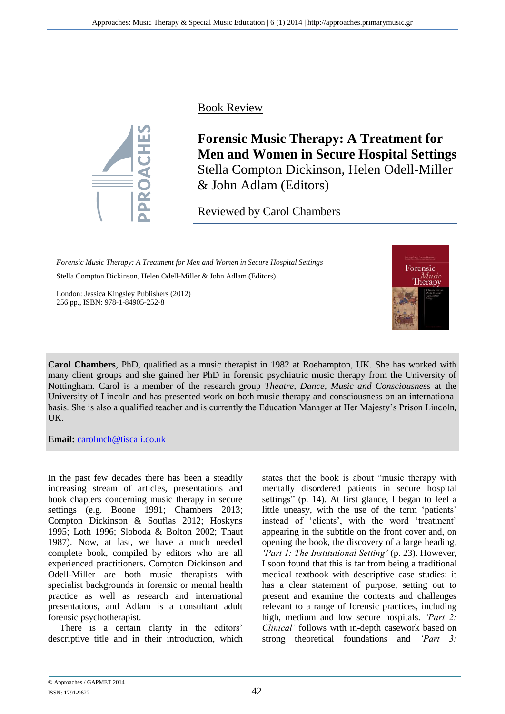Book Review



**Forensic Music Therapy: A Treatment for Men and Women in Secure Hospital Settings** Stella Compton Dickinson, Helen Odell-Miller & John Adlam (Editors)

Reviewed by Carol Chambers

*Forensic Music Therapy: A Treatment for Men and Women in Secure Hospital Settings*  Stella Compton Dickinson, Helen Odell-Miller & John Adlam (Editors)

London: Jessica Kingsley Publishers (2012) 256 pp., ISBN: 978-1-84905-252-8



**Carol Chambers**, PhD, qualified as a music therapist in 1982 at Roehampton, UK. She has worked with many client groups and she gained her PhD in forensic psychiatric music therapy from the University of Nottingham. Carol is a member of the research group *Theatre, Dance, Music and Consciousness* at the University of Lincoln and has presented work on both music therapy and consciousness on an international basis. She is also a qualified teacher and is currently the Education Manager at Her Majesty's Prison Lincoln, UK.

**Email:** [carolmch@tiscali.co.uk](mailto:carolmch@tiscali.co.uk)

In the past few decades there has been a steadily increasing stream of articles, presentations and book chapters concerning music therapy in secure settings (e.g. Boone 1991; Chambers 2013; Compton Dickinson & Souflas 2012; Hoskyns 1995; Loth 1996; Sloboda & Bolton 2002; Thaut 1987). Now, at last, we have a much needed complete book, compiled by editors who are all experienced practitioners. Compton Dickinson and Odell-Miller are both music therapists with specialist backgrounds in forensic or mental health practice as well as research and international presentations, and Adlam is a consultant adult forensic psychotherapist.

There is a certain clarity in the editors' descriptive title and in their introduction, which

states that the book is about "music therapy with mentally disordered patients in secure hospital settings" (p. 14). At first glance, I began to feel a little uneasy, with the use of the term 'patients' instead of 'clients', with the word 'treatment' appearing in the subtitle on the front cover and, on opening the book, the discovery of a large heading, *'Part 1: The Institutional Setting'* (p. 23). However, I soon found that this is far from being a traditional medical textbook with descriptive case studies: it has a clear statement of purpose, setting out to present and examine the contexts and challenges relevant to a range of forensic practices, including high, medium and low secure hospitals. *'Part 2: Clinical'* follows with in-depth casework based on strong theoretical foundations and *'Part 3:*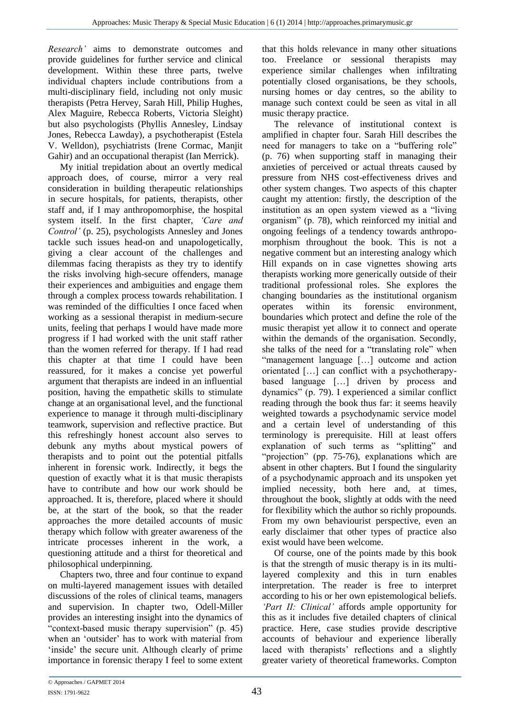*Research'* aims to demonstrate outcomes and provide guidelines for further service and clinical development. Within these three parts, twelve individual chapters include contributions from a multi-disciplinary field, including not only music therapists (Petra Hervey, Sarah Hill, Philip Hughes, Alex Maguire, Rebecca Roberts, Victoria Sleight) but also psychologists (Phyllis Annesley, Lindsay Jones, Rebecca Lawday), a psychotherapist (Estela V. Welldon), psychiatrists (Irene Cormac, Manjit Gahir) and an occupational therapist (Ian Merrick).

My initial trepidation about an overtly medical approach does, of course, mirror a very real consideration in building therapeutic relationships in secure hospitals, for patients, therapists, other staff and, if I may anthropomorphise, the hospital system itself. In the first chapter, *'Care and Control'* (p. 25), psychologists Annesley and Jones tackle such issues head-on and unapologetically, giving a clear account of the challenges and dilemmas facing therapists as they try to identify the risks involving high-secure offenders, manage their experiences and ambiguities and engage them through a complex process towards rehabilitation. I was reminded of the difficulties I once faced when working as a sessional therapist in medium-secure units, feeling that perhaps I would have made more progress if I had worked with the unit staff rather than the women referred for therapy. If I had read this chapter at that time I could have been reassured, for it makes a concise yet powerful argument that therapists are indeed in an influential position, having the empathetic skills to stimulate change at an organisational level, and the functional experience to manage it through multi-disciplinary teamwork, supervision and reflective practice. But this refreshingly honest account also serves to debunk any myths about mystical powers of therapists and to point out the potential pitfalls inherent in forensic work. Indirectly, it begs the question of exactly what it is that music therapists have to contribute and how our work should be approached. It is, therefore, placed where it should be, at the start of the book, so that the reader approaches the more detailed accounts of music therapy which follow with greater awareness of the intricate processes inherent in the work, a questioning attitude and a thirst for theoretical and philosophical underpinning.

Chapters two, three and four continue to expand on multi-layered management issues with detailed discussions of the roles of clinical teams, managers and supervision. In chapter two, Odell-Miller provides an interesting insight into the dynamics of "context-based music therapy supervision" (p. 45) when an 'outsider' has to work with material from 'inside' the secure unit. Although clearly of prime importance in forensic therapy I feel to some extent

that this holds relevance in many other situations too. Freelance or sessional therapists may experience similar challenges when infiltrating potentially closed organisations, be they schools, nursing homes or day centres, so the ability to manage such context could be seen as vital in all music therapy practice.

The relevance of institutional context is amplified in chapter four. Sarah Hill describes the need for managers to take on a "buffering role" (p. 76) when supporting staff in managing their anxieties of perceived or actual threats caused by pressure from NHS cost-effectiveness drives and other system changes. Two aspects of this chapter caught my attention: firstly, the description of the institution as an open system viewed as a "living organism" (p. 78), which reinforced my initial and ongoing feelings of a tendency towards anthropomorphism throughout the book. This is not a negative comment but an interesting analogy which Hill expands on in case vignettes showing arts therapists working more generically outside of their traditional professional roles. She explores the changing boundaries as the institutional organism operates within its forensic environment, boundaries which protect and define the role of the music therapist yet allow it to connect and operate within the demands of the organisation. Secondly, she talks of the need for a "translating role" when "management language […] outcome and action orientated […] can conflict with a psychotherapybased language […] driven by process and dynamics" (p. 79). I experienced a similar conflict reading through the book thus far: it seems heavily weighted towards a psychodynamic service model and a certain level of understanding of this terminology is prerequisite. Hill at least offers explanation of such terms as "splitting" and "projection" (pp. 75-76), explanations which are absent in other chapters. But I found the singularity of a psychodynamic approach and its unspoken yet implied necessity, both here and, at times, throughout the book, slightly at odds with the need for flexibility which the author so richly propounds. From my own behaviourist perspective, even an early disclaimer that other types of practice also exist would have been welcome.

Of course, one of the points made by this book is that the strength of music therapy is in its multilayered complexity and this in turn enables interpretation. The reader is free to interpret according to his or her own epistemological beliefs. *'Part II: Clinical'* affords ample opportunity for this as it includes five detailed chapters of clinical practice. Here, case studies provide descriptive accounts of behaviour and experience liberally laced with therapists' reflections and a slightly greater variety of theoretical frameworks. Compton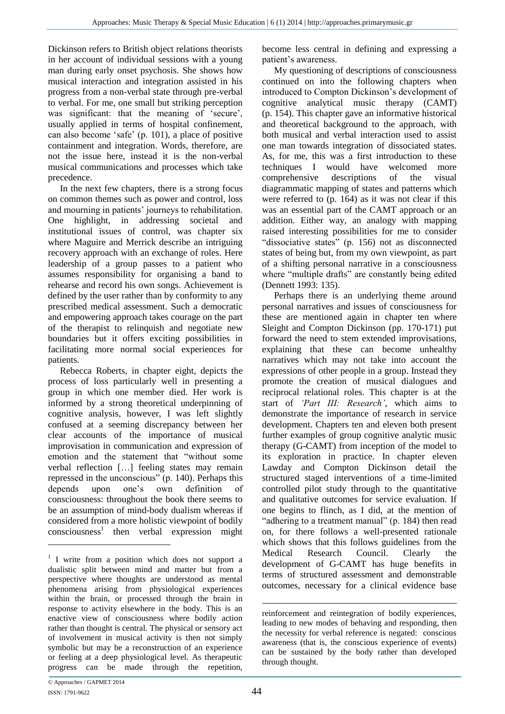Dickinson refers to British object relations theorists in her account of individual sessions with a young man during early onset psychosis. She shows how musical interaction and integration assisted in his progress from a non-verbal state through pre-verbal to verbal. For me, one small but striking perception was significant: that the meaning of 'secure', usually applied in terms of hospital confinement, can also become 'safe' (p. 101), a place of positive containment and integration. Words, therefore, are not the issue here, instead it is the non-verbal musical communications and processes which take precedence.

In the next few chapters, there is a strong focus on common themes such as power and control, loss and mourning in patients' journeys to rehabilitation. One highlight, in addressing societal and institutional issues of control, was chapter six where Maguire and Merrick describe an intriguing recovery approach with an exchange of roles. Here leadership of a group passes to a patient who assumes responsibility for organising a band to rehearse and record his own songs. Achievement is defined by the user rather than by conformity to any prescribed medical assessment. Such a democratic and empowering approach takes courage on the part of the therapist to relinquish and negotiate new boundaries but it offers exciting possibilities in facilitating more normal social experiences for patients.

Rebecca Roberts, in chapter eight, depicts the process of loss particularly well in presenting a group in which one member died. Her work is informed by a strong theoretical underpinning of cognitive analysis, however, I was left slightly confused at a seeming discrepancy between her clear accounts of the importance of musical improvisation in communication and expression of emotion and the statement that "without some verbal reflection […] feeling states may remain repressed in the unconscious" (p. 140). Perhaps this depends upon one's own definition of consciousness: throughout the book there seems to be an assumption of mind-body dualism whereas if considered from a more holistic viewpoint of bodily consciousness<sup>1</sup> then verbal expression might become less central in defining and expressing a patient's awareness.

My questioning of descriptions of consciousness continued on into the following chapters when introduced to Compton Dickinson's development of cognitive analytical music therapy (CAMT) (p. 154). This chapter gave an informative historical and theoretical background to the approach, with both musical and verbal interaction used to assist one man towards integration of dissociated states. As, for me, this was a first introduction to these techniques I would have welcomed more comprehensive descriptions of the visual diagrammatic mapping of states and patterns which were referred to (p. 164) as it was not clear if this was an essential part of the CAMT approach or an addition. Either way, an analogy with mapping raised interesting possibilities for me to consider "dissociative states" (p. 156) not as disconnected states of being but, from my own viewpoint, as part of a shifting personal narrative in a consciousness where "multiple drafts" are constantly being edited (Dennett 1993: 135).

Perhaps there is an underlying theme around personal narratives and issues of consciousness for these are mentioned again in chapter ten where Sleight and Compton Dickinson (pp. 170-171) put forward the need to stem extended improvisations, explaining that these can become unhealthy narratives which may not take into account the expressions of other people in a group. Instead they promote the creation of musical dialogues and reciprocal relational roles. This chapter is at the start of *'Part III: Research'*, which aims to demonstrate the importance of research in service development. Chapters ten and eleven both present further examples of group cognitive analytic music therapy (G-CAMT) from inception of the model to its exploration in practice. In chapter eleven Lawday and Compton Dickinson detail the structured staged interventions of a time-limited controlled pilot study through to the quantitative and qualitative outcomes for service evaluation. If one begins to flinch, as I did, at the mention of "adhering to a treatment manual" (p. 184) then read on, for there follows a well-presented rationale which shows that this follows guidelines from the Medical Research Council. Clearly the development of G-CAMT has huge benefits in terms of structured assessment and demonstrable outcomes, necessary for a clinical evidence base

<u>.</u>

<sup>&</sup>lt;sup>1</sup> I write from a position which does not support a dualistic split between mind and matter but from a perspective where thoughts are understood as mental phenomena arising from physiological experiences within the brain, or processed through the brain in response to activity elsewhere in the body. This is an enactive view of consciousness where bodily action rather than thought is central. The physical or sensory act of involvement in musical activity is then not simply symbolic but may be a reconstruction of an experience or feeling at a deep physiological level. As therapeutic progress can be made through the repetition,

<sup>&</sup>lt;u>.</u> reinforcement and reintegration of bodily experiences, leading to new modes of behaving and responding, then the necessity for verbal reference is negated: conscious awareness (that is, the conscious experience of events) can be sustained by the body rather than developed through thought.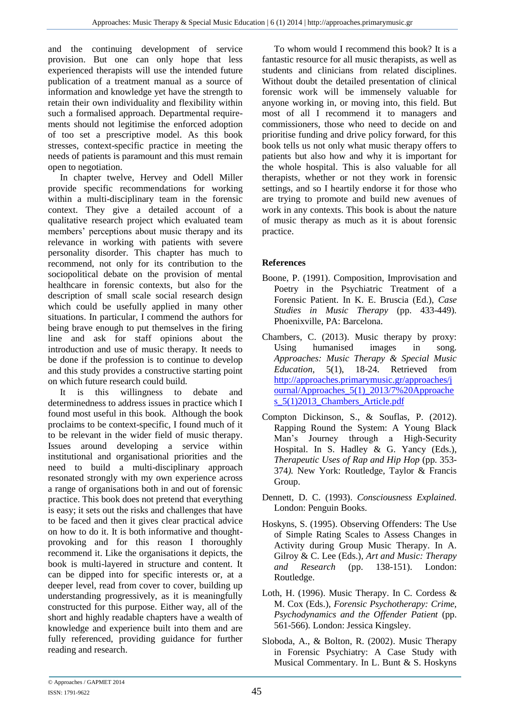and the continuing development of service provision. But one can only hope that less experienced therapists will use the intended future publication of a treatment manual as a source of information and knowledge yet have the strength to retain their own individuality and flexibility within such a formalised approach. Departmental requirements should not legitimise the enforced adoption of too set a prescriptive model. As this book stresses, context-specific practice in meeting the needs of patients is paramount and this must remain open to negotiation.

In chapter twelve, Hervey and Odell Miller provide specific recommendations for working within a multi-disciplinary team in the forensic context. They give a detailed account of a qualitative research project which evaluated team members' perceptions about music therapy and its relevance in working with patients with severe personality disorder. This chapter has much to recommend, not only for its contribution to the sociopolitical debate on the provision of mental healthcare in forensic contexts, but also for the description of small scale social research design which could be usefully applied in many other situations. In particular, I commend the authors for being brave enough to put themselves in the firing line and ask for staff opinions about the introduction and use of music therapy. It needs to be done if the profession is to continue to develop and this study provides a constructive starting point on which future research could build.

It is this willingness to debate and determinedness to address issues in practice which I found most useful in this book. Although the book proclaims to be context-specific, I found much of it to be relevant in the wider field of music therapy. Issues around developing a service within institutional and organisational priorities and the need to build a multi-disciplinary approach resonated strongly with my own experience across a range of organisations both in and out of forensic practice. This book does not pretend that everything is easy; it sets out the risks and challenges that have to be faced and then it gives clear practical advice on how to do it. It is both informative and thoughtprovoking and for this reason I thoroughly recommend it. Like the organisations it depicts, the book is multi-layered in structure and content. It can be dipped into for specific interests or, at a deeper level, read from cover to cover, building up understanding progressively, as it is meaningfully constructed for this purpose. Either way, all of the short and highly readable chapters have a wealth of knowledge and experience built into them and are fully referenced, providing guidance for further reading and research.

To whom would I recommend this book? It is a fantastic resource for all music therapists, as well as students and clinicians from related disciplines. Without doubt the detailed presentation of clinical forensic work will be immensely valuable for anyone working in, or moving into, this field. But most of all I recommend it to managers and commissioners, those who need to decide on and prioritise funding and drive policy forward, for this book tells us not only what music therapy offers to patients but also how and why it is important for the whole hospital. This is also valuable for all therapists, whether or not they work in forensic settings, and so I heartily endorse it for those who are trying to promote and build new avenues of work in any contexts. This book is about the nature of music therapy as much as it is about forensic practice.

## **References**

- Boone, P. (1991). Composition, Improvisation and Poetry in the Psychiatric Treatment of a Forensic Patient. In K. E. Bruscia (Ed.), *Case Studies in Music Therapy* (pp. 433-449)*.*  Phoenixville, PA: Barcelona.
- Chambers, C. (2013). Music therapy by proxy: Using humanised images in song. *Approaches: Music Therapy & Special Music Education,* 5(1), 18-24. Retrieved from [http://approaches.primarymusic.gr/approaches/j](http://approaches.primarymusic.gr/approaches/journal/Approaches_5(1)_2013/7%20Approaches_5(1)2013_Chambers_Article.pdf) [ournal/Approaches\\_5\(1\)\\_2013/7%20Approache](http://approaches.primarymusic.gr/approaches/journal/Approaches_5(1)_2013/7%20Approaches_5(1)2013_Chambers_Article.pdf) s 5(1)2013 Chambers Article.pdf
- Compton Dickinson, S., & Souflas, P. (2012). Rapping Round the System: A Young Black Man's Journey through a High-Security Hospital. In S. Hadley & G. Yancy (Eds.), *Therapeutic Uses of Rap and Hip Hop* (pp. 353- 374*).* New York: Routledge, Taylor & Francis Group.
- Dennett, D. C. (1993). *Consciousness Explained.*  London: Penguin Books.
- Hoskyns, S. (1995). Observing Offenders: The Use of Simple Rating Scales to Assess Changes in Activity during Group Music Therapy. In A. Gilroy & C. Lee (Eds.), *Art and Music: Therapy and Research* (pp. 138-151). London: Routledge.
- Loth, H. (1996). Music Therapy. In C. Cordess & M. Cox (Eds.), *Forensic Psychotherapy: Crime, Psychodynamics and the Offender Patient* (pp. 561-566)*.* London: Jessica Kingsley.
- Sloboda, A., & Bolton, R. (2002). Music Therapy in Forensic Psychiatry: A Case Study with Musical Commentary. In L. Bunt & S. Hoskyns